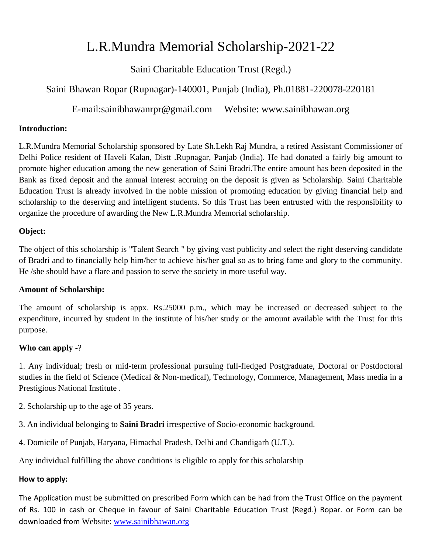# L.R.Mundra Memorial Scholarship-2021-22

Saini Charitable Education Trust (Regd.)

# Saini Bhawan Ropar (Rupnagar)-140001, Punjab (India), Ph.01881-220078-220181

E-mail:sainibhawanrpr@gmail.com Website: www.sainibhawan.org

### **Introduction:**

L.R.Mundra Memorial Scholarship sponsored by Late Sh.Lekh Raj Mundra, a retired Assistant Commissioner of Delhi Police resident of Haveli Kalan, Distt .Rupnagar, Panjab (India). He had donated a fairly big amount to promote higher education among the new generation of Saini Bradri.The entire amount has been deposited in the Bank as fixed deposit and the annual interest accruing on the deposit is given as Scholarship. Saini Charitable Education Trust is already involved in the noble mission of promoting education by giving financial help and scholarship to the deserving and intelligent students. So this Trust has been entrusted with the responsibility to organize the procedure of awarding the New L.R.Mundra Memorial scholarship.

### **Object:**

The object of this scholarship is "Talent Search " by giving vast publicity and select the right deserving candidate of Bradri and to financially help him/her to achieve his/her goal so as to bring fame and glory to the community. He /she should have a flare and passion to serve the society in more useful way.

### **Amount of Scholarship:**

The amount of scholarship is appx. Rs.25000 p.m., which may be increased or decreased subject to the expenditure, incurred by student in the institute of his/her study or the amount available with the Trust for this purpose.

## **Who can apply** -?

1. Any individual; fresh or mid-term professional pursuing full-fledged Postgraduate, Doctoral or Postdoctoral studies in the field of Science (Medical & Non-medical), Technology, Commerce, Management, Mass media in a Prestigious National Institute .

- 2. Scholarship up to the age of 35 years.
- 3. An individual belonging to **Saini Bradri** irrespective of Socio-economic background.
- 4. Domicile of Punjab, Haryana, Himachal Pradesh, Delhi and Chandigarh (U.T.).

Any individual fulfilling the above conditions is eligible to apply for this scholarship

## **How to apply:**

The Application must be submitted on prescribed Form which can be had from the Trust Office on the payment of Rs. 100 in cash or Cheque in favour of Saini Charitable Education Trust (Regd.) Ropar. or Form can be downloaded from Website: [www.sainibhawan.org](http://www.sainibhawan.org/)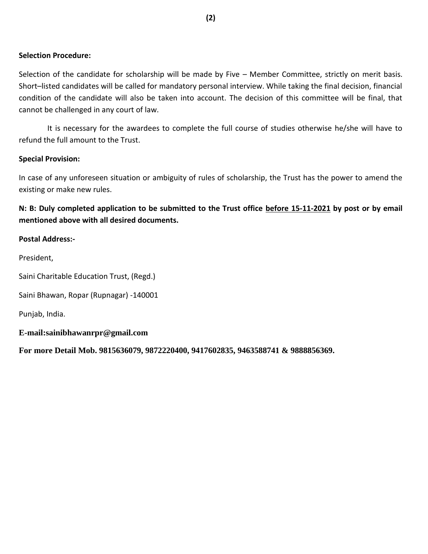#### **Selection Procedure:**

Selection of the candidate for scholarship will be made by Five – Member Committee, strictly on merit basis. Short–listed candidates will be called for mandatory personal interview. While taking the final decision, financial condition of the candidate will also be taken into account. The decision of this committee will be final, that cannot be challenged in any court of law.

 It is necessary for the awardees to complete the full course of studies otherwise he/she will have to refund the full amount to the Trust.

#### **Special Provision:**

In case of any unforeseen situation or ambiguity of rules of scholarship, the Trust has the power to amend the existing or make new rules.

**N: B: Duly completed application to be submitted to the Trust office before 15-11-2021 by post or by email mentioned above with all desired documents.** 

#### **Postal Address:-**

President,

Saini Charitable Education Trust, (Regd.)

Saini Bhawan, Ropar (Rupnagar) -140001

Punjab, India.

**E-mail:sainibhawanrpr@gmail.com** 

**For more Detail Mob. 9815636079, 9872220400, 9417602835, 9463588741 & 9888856369.**